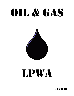# OIL & GAS



## LPWA

(C) ON WORLD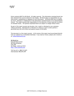

Entire contents **©**2017 by ON World. All rights reserved. The information contained herein has been obtained from sources believed to be reliable. ON World takes no responsibility for any inaccuracies, completeness or adequacy of such information. ON World shall have no liability for errors, omissions or inadequacies in the information contained herein or for interpretations thereof. The reader assumes sole responsibility for the selection of these materials to achieve its intended results. The opinions expressed herein are subject to change without notice.

No part of this report excerpt may be given, lent, resold, or disclosed to non-customers without permission. Reproduction or disclosure in whole or in part to other parties is permitted only with the written and express consent of ON World.

This document is a free report excerpt. A full version of the report may be purchased directly from our website for an immediate download. If you need an invoice, please call or email us at: [research@onworld.com](mailto:research@onworld.com)

**ON World Inc.**  Emerald Plaza Center 402 West Broadway Suite 400 San Diego, California 92101 [http://www.onworld.com](http://www.onworld.com/)

Toll free (U.S.): 888.312.2619 International: 858.259.2397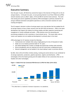

**Oil & Gas LPWA** Executive Summary

## **Executive Summary**

Over the past 12 years, ON World has covered the impact of the Internet of Things (IoT) on the oil and gas industry. In the past two years, we saw growing interest in Low Power Wide Area (LPWA) network solutions such as LoRa®<sup>1</sup>, Sigfox, LTE-M and NB-IoT and this trend continues. The multimile sensing and control capabilities provided by LPWA technologies is perfectly matched for oil and gas wellhead automation and pipeline operations as well as innovative solutions for asset tracking and logistics.

The US congress's decision to allow oil and gas exports was a key decision that has enabled the US oil and gas industry to have a faster recovery from the 2014-2016 oil downturn. LPWA is the latest development that impacts this industry by solving complex and labor expensive monitoring and management of remote wellheads and assets. LPWA solutions move the networking and provisioning complexity to the in-premises or cloud network server. This lowers labor costs as routers and repeaters are not needed and development is primarily done in the cloud.

LPWA advantages for IoT solutions include the following:

- Communicate over multiple miles using a single gateway for tens of thousands of nodes.
- Nodes can run on battery powered nodes for 10+ years.
- Star based topology that is easier to manage and extend than wireless mesh networks.
- Device and gateway costs are relatively low and will trend lower as deployments grow.
- Network management can be handled in the cloud making it easier to provision devices.

By 2022, there will be 30 million wireless sensing, tracking and control devices in use worldwide for oil and gas exploration, production, pipeline operations, logistics and distribution. LPWA technologies will be the fastest growing and will enable millions of new connections that are not feasible with other technologies.



#### **Figure 1: Global Oil & Gas Connected WSN Devices & LPWA Pen Rate (2016-2022)**

<sup>1</sup> \*The LoRa® Mark is a trademark of Semtech Corporation or its subsidiaries.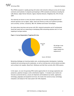

**T**he LPWAN ecosystem is rapidly growing with nation-wide networks rolling out across all the major continents and hundreds of companies participating in LPWA standards and alliances including the LoRa Alliance, Sigfox Partner Network, Ingenu's Machine Network, Weightless SIG, ETSI LTN and 3GPP.

The relatively low barrier to entry has drawn numerous new entrants including dedicated IoT network operators such as Ingenu, Sigfox, Senet and Thinxtra as well as IoT platform providers such as Actility, Carriots, Cumulocity, IBM, HP, OrbiWise and Stream Technologies.

Our latest phone interviews and surveys with 250+ industrial automation and IoT professionals found that nearly half are researching or developing LPWA networking solutions and 2 in 5 are targeting oil and gas markets.



#### **Figure 2: Survey Respondents Targeting Oil & Gas**

Remaining challenges are lowering module costs, accelerating product development, hardening standards and overcoming security weaknesses, as well as involving more vertical solution providers such as Alizent (Air Liquide), OleumTech, WellAware and Zedi that currently offer LPWA systems.

In this report, we cover the growing LPWA market opportunities for oil and gas exploration and production, pipelines/storage as well as distribution/logistics. It includes 6-year market size forecasts (connected devices, annual unit shipments and breakdowns by market, application, technology, geography and equipment/services); the results from several surveys; technology evaluation; and analysis of the value system with 100 companies.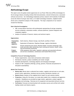

## **Methodology/Scope**

This report covers the global market opportunity for Low Power Wide Area (LPWA) technologies for the oil and gas industry including wireless field instrumentation, network infrastructure, associated software and services. Our methodology emphasizes primary research with hundreds of individuals across the whole oil and gas value chain, an in-depth technology evaluation, weighted market drivers and a competitive analysis of 100 companies. The major components of our research include the following:

#### **Data Collection/Investigation:**

- 200+ surveys/phone interviews with professionals representing oil and gas companies, services companies, automation vendors, software platforms, systems integrators and component suppliers.
- Analysis of hundreds of financial, industry and technical reports.

#### **Segmentation**:

| Geographies:                | North America, Western Europe, Asia Pacific and Rest of World                                                                                                                                |
|-----------------------------|----------------------------------------------------------------------------------------------------------------------------------------------------------------------------------------------|
| <b>Markets</b><br>segments: | Exploration & Production, Pipelines/Storage, Logistics/distribution                                                                                                                          |
| Solutions:                  | Process monitoring and control; Machine health; Corrosion monitoring; tank<br>levels and other asset monitoring; Asset tracking and location; Health, safety<br>and environmental monitoring |
| Product<br>segments:        | LPWA equipment (End nodes, repeaters, gateways and associated software)<br>and services (installation, maintenance and hosted/Web services)                                                  |

#### **Competitive Forces & Technology Dynamics**:

- Product segmentation, value chain and business model analysis
- Distribution channels, product availability and vendor strength
- Standards developments, technology adoption and emerging technologies
- Analysis of 100+ companies (offerings, pricing, partners, financials and potential for disruption/sustainability)

#### **Market Size Forecasts:**

- **Market data:** Recent data is collected from vendors, suppliers and end users on unit sales, growth trends, applications, hardware/service pricing, distribution channels, etc.
- **Market drivers:** Analysis of the weighted driver impact for each solution/market.
- **Projections**: Using all of the above, we create data models from a moderate and aggressive viewpoint. Breakdowns are provided by target market, application, product segment, geography and technology. Revenues are for equipment and associated software/services.
- **Verification:** Forecasts are benchmarked with secondary sources and verified with market leading vendors and industry experts.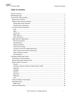

### **Table of Contents**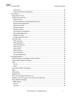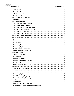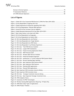

## **List of Figures**

| Figure 1: Global Oil & Gas Connected WSN Devices & LPWA Pen Rate (2016-2022)  1 |
|---------------------------------------------------------------------------------|
|                                                                                 |
|                                                                                 |
|                                                                                 |
|                                                                                 |
|                                                                                 |
|                                                                                 |
|                                                                                 |
|                                                                                 |
|                                                                                 |
|                                                                                 |
|                                                                                 |
|                                                                                 |
|                                                                                 |
|                                                                                 |
|                                                                                 |
|                                                                                 |
|                                                                                 |
|                                                                                 |
| Figure 20: Oil & Gas - Satisfaction w/ Current Industrial WSN Systems Rated 28  |
|                                                                                 |
|                                                                                 |
|                                                                                 |
|                                                                                 |
|                                                                                 |
|                                                                                 |
|                                                                                 |
|                                                                                 |
|                                                                                 |
|                                                                                 |
|                                                                                 |
| Figure 32: Wireless Sensing/M2M Applications Requiring >1K Bytes/Day  34        |
|                                                                                 |
|                                                                                 |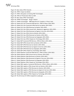

| Figure 41: LPWAN Technologies - 5000 Node Percent Complete vs Power Used 46          |  |
|--------------------------------------------------------------------------------------|--|
| Figure 42: Global Oil & Gas Connected WSN Devices, LPWA & Others (2016-2022) 48      |  |
| Figure 43: Global Oil & Gas Connected LPWA Devices by Market (2016-2022)  49         |  |
|                                                                                      |  |
| Figure 45: Global Oil & Gas LPWA Annual Units, Moderate & Aggressive (2016-2022) 51  |  |
| Figure 46: Global Oil & Gas LPWA Revenues by Eqpmnt & Services (2016-2022)  52       |  |
|                                                                                      |  |
|                                                                                      |  |
| Figure 49: Global Oil & Gas LPWA Revenues by Geography (2016-2022)  55               |  |
|                                                                                      |  |
| Figure 51: Global E&P Connected WSN Devices, LPWA & Others (2016-2022)  57           |  |
|                                                                                      |  |
|                                                                                      |  |
| Figure 54: Global E&P LPWA Revenues by Eqpmnt & Services (2016-2022) 60              |  |
|                                                                                      |  |
|                                                                                      |  |
| Figure 57: Global Pipelines Connected WSN Devices, LPWA & Others (2016-2022)  63     |  |
| Figure 58: Global Pipelines LPWA Annual Units by Solution (2016-2022) 64             |  |
|                                                                                      |  |
| Figure 60: Global Pipelines LPWA Revenues by Eqpmnt & Services (2016-2022)  66       |  |
| Figure 61: Global Pipelines LPWA Revenues by Geography (2016-2022)  67               |  |
|                                                                                      |  |
| Figure 63: Global O&G Logistics Connected WSN Devices, LPWA & Others (2016-2022)  69 |  |
|                                                                                      |  |
| Figure 65: Global O&G Logistics LPWA Revenues by Solution (2016-2022) 71             |  |
| Figure 66: Global O&G Logistics LPWA Revenues by Eqpmnt & Services (2016-2022)  72   |  |
| Figure 67: Global O&G Logistics LPWA Revenues by Geography (2016-2022)  73           |  |
| Figure 68: Global O&G Logistics LPWA Chipsets by Technology (2016-2022) 74           |  |
|                                                                                      |  |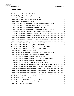

## **List of Tables**

<span id="page-10-0"></span>

| Table 6: Global Oil & Gas Connected WSN Devices, LPWA & Others (2016-2022)  48      |  |
|-------------------------------------------------------------------------------------|--|
| Table 7: Global Oil & Gas Connected LPWA Devices by Market (2016-2022)  49          |  |
|                                                                                     |  |
| Table 9: Global Oil & Gas LPWA Annual Units, Moderate & Aggressive (2016-2022)  51  |  |
| Table 10: Global Oil & Gas LPWA Revenues by Eqpmnt & Services (2016-2022)  52       |  |
|                                                                                     |  |
|                                                                                     |  |
|                                                                                     |  |
| Table 14: Global Oil & Gas LPWA Chipsets by Technology (2016-2022)  56              |  |
| Table 15: Global E&P Connected WSN Devices, LPWA & Others (2016-2022)  57           |  |
|                                                                                     |  |
|                                                                                     |  |
| Table 18: Global E&P LPWA Revenues by Eqpmnt & Services (2016-2022)  60             |  |
|                                                                                     |  |
|                                                                                     |  |
| Table 21: Global Pipelines Connected WSN Devices, LPWA & Others (2016-2022)  63     |  |
| Table 22: Global Pipelines LPWA Annual Units by Solution (2016-2022)  64            |  |
|                                                                                     |  |
| Table 24: Global Pipelines LPWA Revenues by Eqpmnt & Services (2016-2022)  66       |  |
|                                                                                     |  |
|                                                                                     |  |
| Table 27: Global O&G Logistics Connected WSN Devices, LPWA & Others (2016-2022)  69 |  |
| Table 28: Global O&G Logistics LPWA Annual Units by Solution (2016-2022)  70        |  |
| Table 29: Global O&G Logistics LPWA Revenues by Solution (2016-2022)  71            |  |
| Table 30: Global O&G Logistics LPWA Revenues by Eqpmnt & Services (2016-2022)  72   |  |
| Table 31: Global O&G Logistics LPWA Revenues by Geography (2016-2022)  73           |  |
| Table 32: Global O&G Logistics LPWA Chipsets by Technology (2016-2022) 74           |  |
|                                                                                     |  |
|                                                                                     |  |
|                                                                                     |  |
|                                                                                     |  |
|                                                                                     |  |